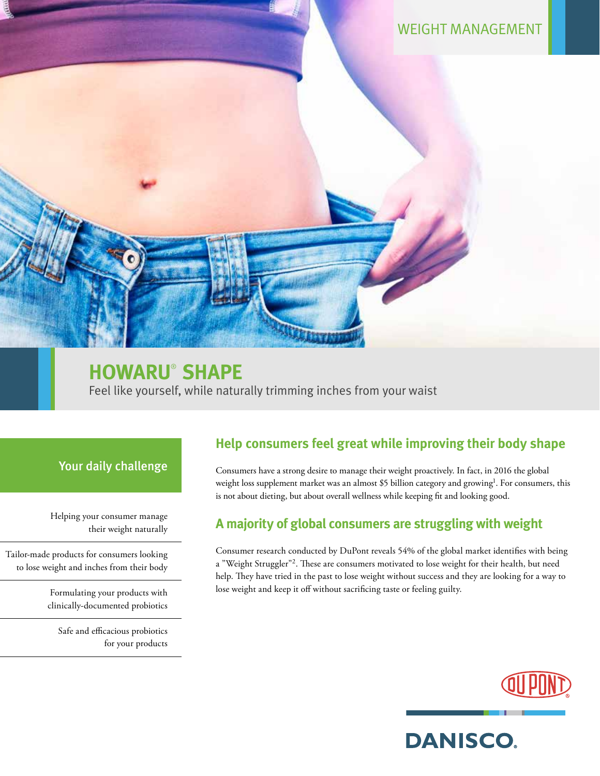WEIGHT MANAGEMENT

# **HOWARU**®  **SHAPE**

Feel like yourself, while naturally trimming inches from your waist

### Your daily challenge

Helping your consumer manage their weight naturally

Tailor-made products for consumers looking to lose weight and inches from their body

> Formulating your products with clinically-documented probiotics

Safe and efficacious probiotics for your products

### **Help consumers feel great while improving their body shape**

Consumers have a strong desire to manage their weight proactively. In fact, in 2016 the global weight loss supplement market was an almost \$5 billion category and growing<sup>1</sup>. For consumers, this is not about dieting, but about overall wellness while keeping fit and looking good.

### **A majority of global consumers are struggling with weight**

Consumer research conducted by DuPont reveals 54% of the global market identifies with being a "Weight Struggler"<sup>2</sup>. These are consumers motivated to lose weight for their health, but need help. They have tried in the past to lose weight without success and they are looking for a way to lose weight and keep it off without sacrificing taste or feeling guilty.